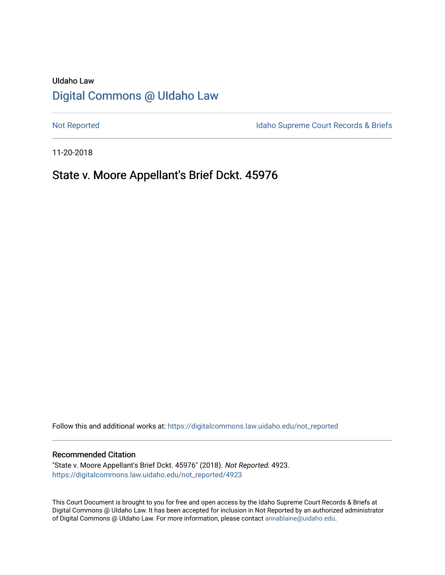# UIdaho Law [Digital Commons @ UIdaho Law](https://digitalcommons.law.uidaho.edu/)

[Not Reported](https://digitalcommons.law.uidaho.edu/not_reported) **Idaho Supreme Court Records & Briefs** 

11-20-2018

# State v. Moore Appellant's Brief Dckt. 45976

Follow this and additional works at: [https://digitalcommons.law.uidaho.edu/not\\_reported](https://digitalcommons.law.uidaho.edu/not_reported?utm_source=digitalcommons.law.uidaho.edu%2Fnot_reported%2F4923&utm_medium=PDF&utm_campaign=PDFCoverPages) 

#### Recommended Citation

"State v. Moore Appellant's Brief Dckt. 45976" (2018). Not Reported. 4923. [https://digitalcommons.law.uidaho.edu/not\\_reported/4923](https://digitalcommons.law.uidaho.edu/not_reported/4923?utm_source=digitalcommons.law.uidaho.edu%2Fnot_reported%2F4923&utm_medium=PDF&utm_campaign=PDFCoverPages)

This Court Document is brought to you for free and open access by the Idaho Supreme Court Records & Briefs at Digital Commons @ UIdaho Law. It has been accepted for inclusion in Not Reported by an authorized administrator of Digital Commons @ UIdaho Law. For more information, please contact [annablaine@uidaho.edu](mailto:annablaine@uidaho.edu).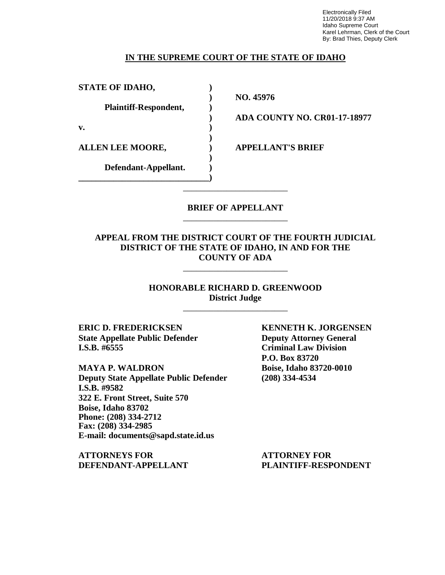Electronically Filed 11/20/2018 9:37 AM Idaho Supreme Court Karel Lehrman, Clerk of the Court By: Brad Thies, Deputy Clerk

### **IN THE SUPREME COURT OF THE STATE OF IDAHO**

**STATE OF IDAHO, )**

**Plaintiff-Respondent, )**

**v. )**

**ALLEN LEE MOORE, ) APPELLANT'S BRIEF**

**Defendant-Appellant. ) \_\_\_\_\_\_\_\_\_\_\_\_\_\_\_\_\_\_\_\_\_\_\_\_\_\_\_\_\_\_)** **) NO. 45976**

**) ADA COUNTY NO. CR01-17-18977**

### **BRIEF OF APPELLANT** \_\_\_\_\_\_\_\_\_\_\_\_\_\_\_\_\_\_\_\_\_\_\_\_

\_\_\_\_\_\_\_\_\_\_\_\_\_\_\_\_\_\_\_\_\_\_\_\_

**)**

**)**

### **APPEAL FROM THE DISTRICT COURT OF THE FOURTH JUDICIAL DISTRICT OF THE STATE OF IDAHO, IN AND FOR THE COUNTY OF ADA**

\_\_\_\_\_\_\_\_\_\_\_\_\_\_\_\_\_\_\_\_\_\_\_\_

**HONORABLE RICHARD D. GREENWOOD District Judge**

\_\_\_\_\_\_\_\_\_\_\_\_\_\_\_\_\_\_\_\_\_\_\_\_

**ERIC D. FREDERICKSEN KENNETH K. JORGENSEN State Appellate Public Defender Deputy Attorney General I.S.B. #6555 Criminal Law Division**

**MAYA P. WALDRON Boise, Idaho 83720-0010 Deputy State Appellate Public Defender (208) 334-4534 I.S.B. #9582 322 E. Front Street, Suite 570 Boise, Idaho 83702 Phone: (208) 334-2712 Fax: (208) 334-2985 E-mail: documents@sapd.state.id.us**

**ATTORNEYS FOR ATTORNEY FOR DEFENDANT-APPELLANT PLAINTIFF-RESPONDENT**

**P.O. Box 83720**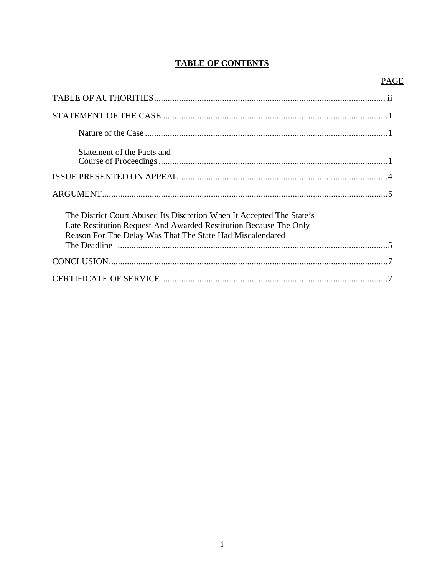# **TABLE OF CONTENTS**

## **PAGE**

| Statement of the Facts and                                                                                                                                                                              |
|---------------------------------------------------------------------------------------------------------------------------------------------------------------------------------------------------------|
|                                                                                                                                                                                                         |
|                                                                                                                                                                                                         |
| The District Court Abused Its Discretion When It Accepted The State's<br>Late Restitution Request And Awarded Restitution Because The Only<br>Reason For The Delay Was That The State Had Miscalendared |
|                                                                                                                                                                                                         |
|                                                                                                                                                                                                         |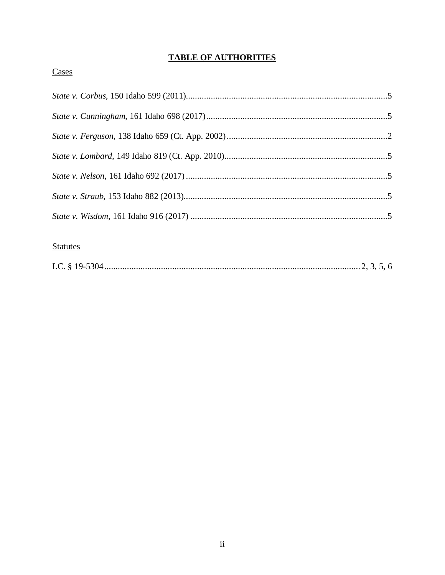# **TABLE OF AUTHORITIES**

## Cases

# **Statutes**

|--|--|--|--|--|--|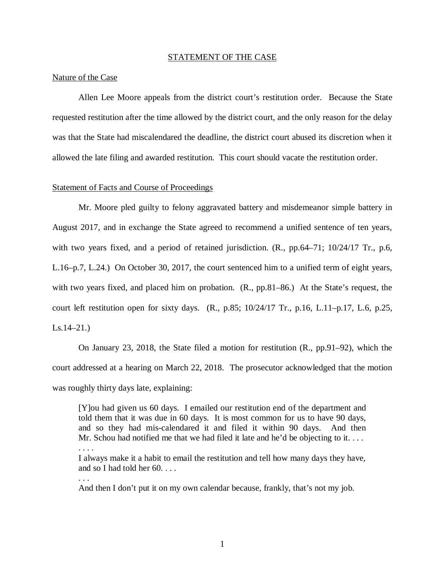#### STATEMENT OF THE CASE

#### Nature of the Case

. . .

Allen Lee Moore appeals from the district court's restitution order. Because the State requested restitution after the time allowed by the district court, and the only reason for the delay was that the State had miscalendared the deadline, the district court abused its discretion when it allowed the late filing and awarded restitution. This court should vacate the restitution order.

#### Statement of Facts and Course of Proceedings

Mr. Moore pled guilty to felony aggravated battery and misdemeanor simple battery in August 2017, and in exchange the State agreed to recommend a unified sentence of ten years, with two years fixed, and a period of retained jurisdiction. (R., pp.64–71; 10/24/17 Tr., p.6, L.16–p.7, L.24.) On October 30, 2017, the court sentenced him to a unified term of eight years, with two years fixed, and placed him on probation. (R., pp.81–86.) At the State's request, the court left restitution open for sixty days.  $(R., p.85; 10/24/17 \text{ Tr.}, p.16, L.11-p.17, L.6, p.25,$ Ls.14–21.)

On January 23, 2018, the State filed a motion for restitution (R., pp.91–92), which the court addressed at a hearing on March 22, 2018. The prosecutor acknowledged that the motion was roughly thirty days late, explaining:

[Y]ou had given us 60 days. I emailed our restitution end of the department and told them that it was due in 60 days. It is most common for us to have 90 days, and so they had mis-calendared it and filed it within 90 days. And then Mr. Schou had notified me that we had filed it late and he'd be objecting to it.... . . . . I always make it a habit to email the restitution and tell how many days they have,

and so I had told her 60. . . .

And then I don't put it on my own calendar because, frankly, that's not my job.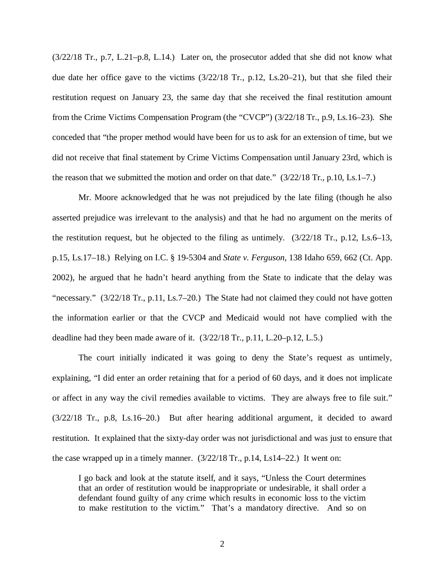$(3/22/18$  Tr., p.7, L.21–p.8, L.14.) Later on, the prosecutor added that she did not know what due date her office gave to the victims (3/22/18 Tr., p.12, Ls.20–21), but that she filed their restitution request on January 23, the same day that she received the final restitution amount from the Crime Victims Compensation Program (the "CVCP") (3/22/18 Tr., p.9, Ls.16–23). She conceded that "the proper method would have been for us to ask for an extension of time, but we did not receive that final statement by Crime Victims Compensation until January 23rd, which is the reason that we submitted the motion and order on that date." (3/22/18 Tr., p.10, Ls.1–7.)

Mr. Moore acknowledged that he was not prejudiced by the late filing (though he also asserted prejudice was irrelevant to the analysis) and that he had no argument on the merits of the restitution request, but he objected to the filing as untimely.  $(3/22/18$  Tr., p.12, Ls.6–13, p.15, Ls.17–18.) Relying on I.C. § 19-5304 and *State v. Ferguson*, 138 Idaho 659, 662 (Ct. App. 2002), he argued that he hadn't heard anything from the State to indicate that the delay was "necessary." (3/22/18 Tr., p.11, Ls.7–20.) The State had not claimed they could not have gotten the information earlier or that the CVCP and Medicaid would not have complied with the deadline had they been made aware of it. (3/22/18 Tr., p.11, L.20–p.12, L.5.)

The court initially indicated it was going to deny the State's request as untimely, explaining, "I did enter an order retaining that for a period of 60 days, and it does not implicate or affect in any way the civil remedies available to victims. They are always free to file suit." (3/22/18 Tr., p.8, Ls.16–20.) But after hearing additional argument, it decided to award restitution. It explained that the sixty-day order was not jurisdictional and was just to ensure that the case wrapped up in a timely manner. (3/22/18 Tr., p.14, Ls14–22.) It went on:

I go back and look at the statute itself, and it says, "Unless the Court determines that an order of restitution would be inappropriate or undesirable, it shall order a defendant found guilty of any crime which results in economic loss to the victim to make restitution to the victim." That's a mandatory directive. And so on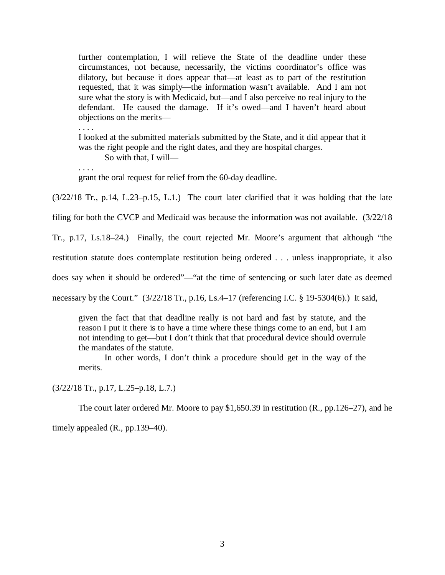further contemplation, I will relieve the State of the deadline under these circumstances, not because, necessarily, the victims coordinator's office was dilatory, but because it does appear that—at least as to part of the restitution requested, that it was simply—the information wasn't available. And I am not sure what the story is with Medicaid, but—and I also perceive no real injury to the defendant. He caused the damage. If it's owed—and I haven't heard about objections on the merits—

. . . .

I looked at the submitted materials submitted by the State, and it did appear that it was the right people and the right dates, and they are hospital charges.

So with that, I will—

. . . .

grant the oral request for relief from the 60-day deadline.

(3/22/18 Tr., p.14, L.23–p.15, L.1.) The court later clarified that it was holding that the late

filing for both the CVCP and Medicaid was because the information was not available. (3/22/18

Tr., p.17, Ls.18–24.) Finally, the court rejected Mr. Moore's argument that although "the

restitution statute does contemplate restitution being ordered . . . unless inappropriate, it also

does say when it should be ordered"—"at the time of sentencing or such later date as deemed

necessary by the Court." (3/22/18 Tr., p.16, Ls.4–17 (referencing I.C. § 19-5304(6).) It said,

given the fact that that deadline really is not hard and fast by statute, and the reason I put it there is to have a time where these things come to an end, but I am not intending to get—but I don't think that that procedural device should overrule the mandates of the statute.

In other words, I don't think a procedure should get in the way of the merits.

(3/22/18 Tr., p.17, L.25–p.18, L.7.)

The court later ordered Mr. Moore to pay \$1,650.39 in restitution (R., pp.126–27), and he

timely appealed (R., pp.139–40).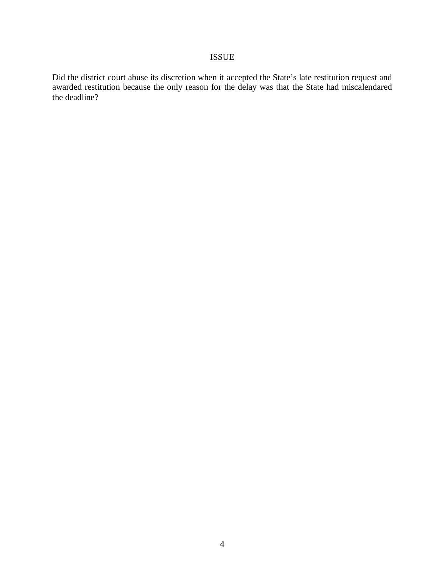# ISSUE

Did the district court abuse its discretion when it accepted the State's late restitution request and awarded restitution because the only reason for the delay was that the State had miscalendared the deadline?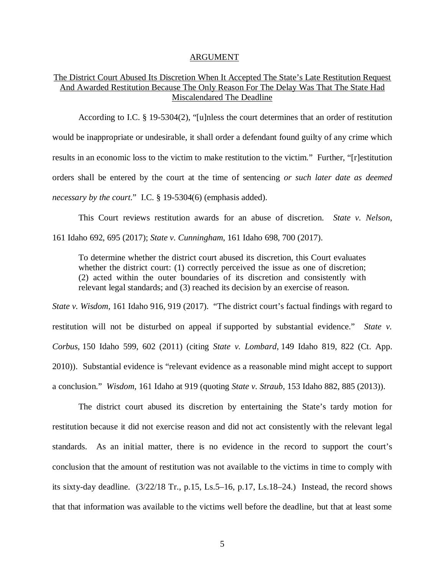#### ARGUMENT

### The District Court Abused Its Discretion When It Accepted The State's Late Restitution Request And Awarded Restitution Because The Only Reason For The Delay Was That The State Had Miscalendared The Deadline

According to I.C. § 19-5304(2), "[u]nless the court determines that an order of restitution would be inappropriate or undesirable, it shall order a defendant found guilty of any crime which results in an economic loss to the victim to make restitution to the victim." Further, "[r]estitution orders shall be entered by the court at the time of sentencing *or such later date as deemed necessary by the court*." I.C. § 19-5304(6) (emphasis added).

This Court reviews restitution awards for an abuse of discretion. *State v. Nelson*, 161 Idaho 692, 695 (2017); *State v. Cunningham*, 161 Idaho 698, 700 (2017).

To determine whether the district court abused its discretion, this Court evaluates whether the district court: (1) correctly perceived the issue as one of discretion; (2) acted within the outer boundaries of its discretion and consistently with relevant legal standards; and (3) reached its decision by an exercise of reason.

*State v. Wisdom*, 161 Idaho 916, 919 (2017). "The district court's factual findings with regard to restitution will not be disturbed on appeal if supported by substantial evidence." *State v. Corbus*, 150 Idaho 599, 602 (2011) (citing *State v. Lombard*, 149 Idaho 819, 822 (Ct. App. 2010)). Substantial evidence is "relevant evidence as a reasonable mind might accept to support a conclusion." *Wisdom*, 161 Idaho at 919 (quoting *State v. Straub*, 153 Idaho 882, 885 (2013)).

The district court abused its discretion by entertaining the State's tardy motion for restitution because it did not exercise reason and did not act consistently with the relevant legal standards. As an initial matter, there is no evidence in the record to support the court's conclusion that the amount of restitution was not available to the victims in time to comply with its sixty-day deadline. (3/22/18 Tr., p.15, Ls.5–16, p.17, Ls.18–24.) Instead, the record shows that that information was available to the victims well before the deadline, but that at least some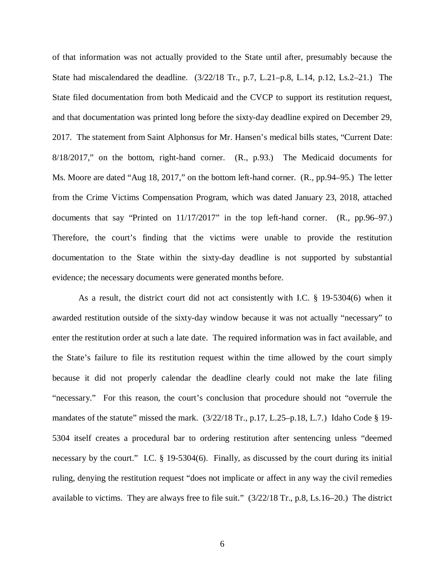of that information was not actually provided to the State until after, presumably because the State had miscalendared the deadline. (3/22/18 Tr., p.7, L.21–p.8, L.14, p.12, Ls.2–21.) The State filed documentation from both Medicaid and the CVCP to support its restitution request, and that documentation was printed long before the sixty-day deadline expired on December 29, 2017. The statement from Saint Alphonsus for Mr. Hansen's medical bills states, "Current Date: 8/18/2017," on the bottom, right-hand corner. (R., p.93.) The Medicaid documents for Ms. Moore are dated "Aug 18, 2017," on the bottom left-hand corner. (R., pp.94–95.) The letter from the Crime Victims Compensation Program, which was dated January 23, 2018, attached documents that say "Printed on 11/17/2017" in the top left-hand corner. (R., pp.96–97.) Therefore, the court's finding that the victims were unable to provide the restitution documentation to the State within the sixty-day deadline is not supported by substantial evidence; the necessary documents were generated months before.

As a result, the district court did not act consistently with I.C. § 19-5304(6) when it awarded restitution outside of the sixty-day window because it was not actually "necessary" to enter the restitution order at such a late date. The required information was in fact available, and the State's failure to file its restitution request within the time allowed by the court simply because it did not properly calendar the deadline clearly could not make the late filing "necessary." For this reason, the court's conclusion that procedure should not "overrule the mandates of the statute" missed the mark. (3/22/18 Tr., p.17, L.25–p.18, L.7.) Idaho Code § 19-5304 itself creates a procedural bar to ordering restitution after sentencing unless "deemed necessary by the court." I.C. § 19-5304(6). Finally, as discussed by the court during its initial ruling, denying the restitution request "does not implicate or affect in any way the civil remedies available to victims. They are always free to file suit." (3/22/18 Tr., p.8, Ls.16–20.) The district